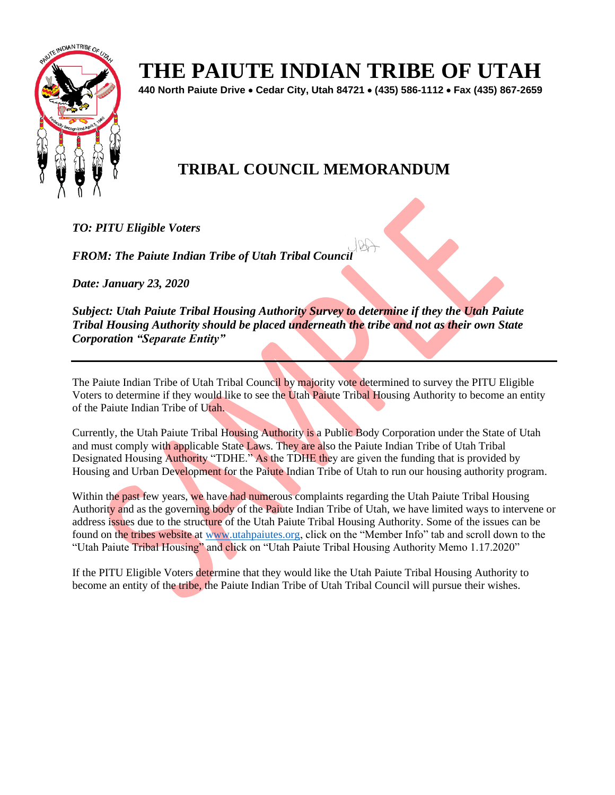

# **THE PAIUTE INDIAN TRIBE OF UTAH**

**440 North Paiute Drive** • **Cedar City, Utah 84721** • **(435) 586-1112** • **Fax (435) 867-2659** 

## **TRIBAL COUNCIL MEMORANDUM**

*TO: PITU Eligible Voters*

*FROM: The Paiute Indian Tribe of Utah Tribal Council* 

*Date: January 23, 2020*

*Subject: Utah Paiute Tribal Housing Authority Survey to determine if they the Utah Paiute Tribal Housing Authority should be placed underneath the tribe and not as their own State Corporation "Separate Entity"* 

The Paiute Indian Tribe of Utah Tribal Council by majority vote determined to survey the PITU Eligible Voters to determine if they would like to see the Utah Paiute Tribal Housing Authority to become an entity of the Paiute Indian Tribe of Utah.

Currently, the Utah Paiute Tribal Housing Authority is a Public Body Corporation under the State of Utah and must comply with applicable State Laws. They are also the Paiute Indian Tribe of Utah Tribal Designated Housing Authority "TDHE." As the TDHE they are given the funding that is provided by Housing and Urban Development for the Paiute Indian Tribe of Utah to run our housing authority program.

Within the past few years, we have had numerous complaints regarding the Utah Paiute Tribal Housing Authority and as the governing body of the Paiute Indian Tribe of Utah, we have limited ways to intervene or address issues due to the structure of the Utah Paiute Tribal Housing Authority. Some of the issues can be found on the tribes website at [www.utahpaiutes.org,](http://www.utahpaiutes.org/) click on the "Member Info" tab and scroll down to the "Utah Paiute Tribal Housing" and click on "Utah Paiute Tribal Housing Authority Memo 1.17.2020"

If the PITU Eligible Voters determine that they would like the Utah Paiute Tribal Housing Authority to become an entity of the tribe, the Paiute Indian Tribe of Utah Tribal Council will pursue their wishes.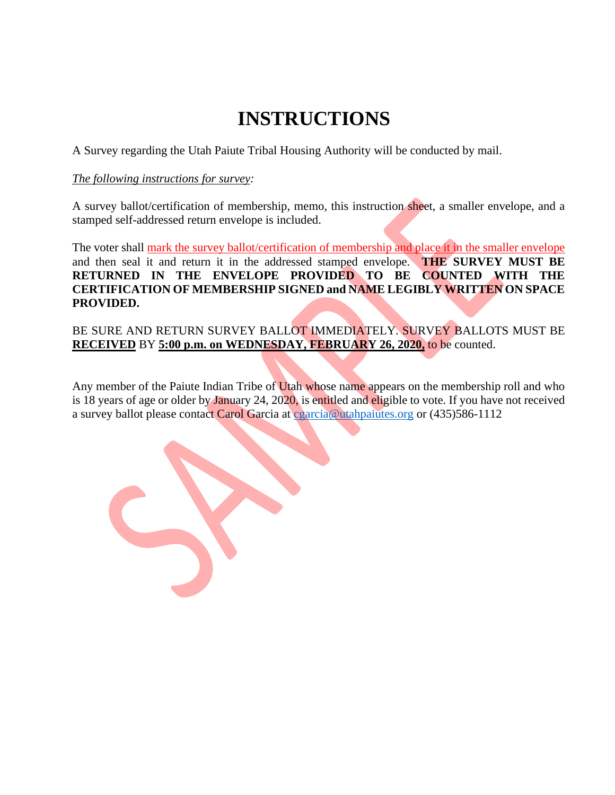# **INSTRUCTIONS**

A Survey regarding the Utah Paiute Tribal Housing Authority will be conducted by mail.

#### *The following instructions for survey:*

A survey ballot/certification of membership, memo, this instruction sheet, a smaller envelope, and a stamped self-addressed return envelope is included.

The voter shall mark the survey ballot/certification of membership and place it in the smaller envelope and then seal it and return it in the addressed stamped envelope. **THE SURVEY MUST BE RETURNED IN THE ENVELOPE PROVIDED TO BE COUNTED WITH THE CERTIFICATION OF MEMBERSHIP SIGNED and NAME LEGIBLY WRITTEN ON SPACE PROVIDED.** 

BE SURE AND RETURN SURVEY BALLOT IMMEDIATELY. SURVEY BALLOTS MUST BE **RECEIVED** BY **5:00 p.m. on WEDNESDAY, FEBRUARY 26, 2020,** to be counted.

Any member of the Paiute Indian Tribe of Utah whose name appears on the membership roll and who is 18 years of age or older by January 24, 2020, is entitled and eligible to vote. If you have not received a survey ballot please contact Carol Garcia at [cgarcia@utahpaiutes.org](mailto:cgarcia@utahpaiutes.org) or (435)586-1112